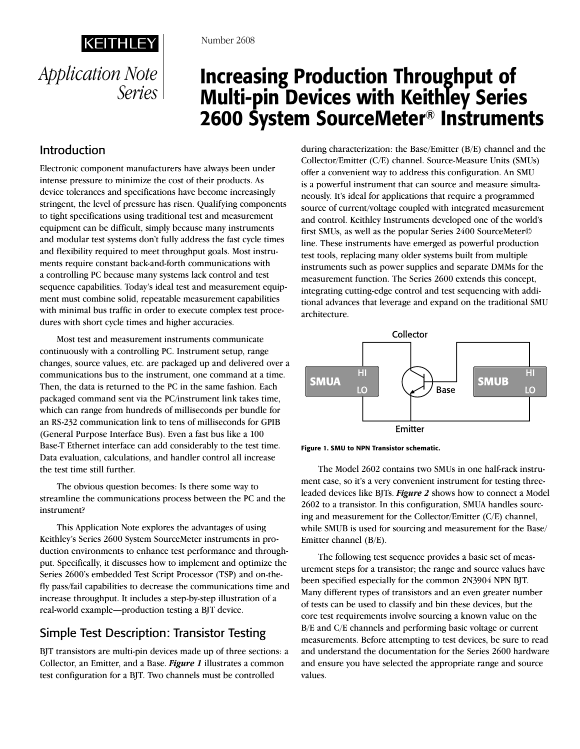

# Increasing Production Throughput of Multi-pin Devices with Keithley Series 2600 System SourceMeter® Instruments

## Introduction

Electronic component manufacturers have always been under intense pressure to minimize the cost of their products. As device tolerances and specifications have become increasingly stringent, the level of pressure has risen. Qualifying components to tight specifications using traditional test and measurement equipment can be difficult, simply because many instruments and modular test systems don't fully address the fast cycle times and flexibility required to meet throughput goals. Most instruments require constant back-and-forth communications with a controlling PC because many systems lack control and test sequence capabilities. Today's ideal test and measurement equipment must combine solid, repeatable measurement capabilities with minimal bus traffic in order to execute complex test procedures with short cycle times and higher accuracies.

Most test and measurement instruments communicate continuously with a controlling PC. Instrument setup, range changes, source values, etc. are packaged up and delivered over a communications bus to the instrument, one command at a time. Then, the data is returned to the PC in the same fashion. Each packaged command sent via the PC/instrument link takes time, which can range from hundreds of milliseconds per bundle for an RS-232 communication link to tens of milliseconds for GPIB (General Purpose Interface Bus). Even a fast bus like a 100 Base-T Ethernet interface can add considerably to the test time. Data evaluation, calculations, and handler control all increase the test time still further.

The obvious question becomes: Is there some way to streamline the communications process between the PC and the instrument?

This Application Note explores the advantages of using Keithley's Series 2600 System SourceMeter instruments in production environments to enhance test performance and throughput. Specifically, it discusses how to implement and optimize the Series 2600's embedded Test Script Processor (TSP) and on-thefly pass/fail capabilities to decrease the communications time and increase throughput. It includes a step-by-step illustration of a real-world example—production testing a BJT device.

## Simple Test Description: Transistor Testing

BJT transistors are multi-pin devices made up of three sections: a Collector, an Emitter, and a Base. *Figure 1* illustrates a common test configuration for a BJT. Two channels must be controlled

during characterization: the Base/Emitter (B/E) channel and the Collector/Emitter (C/E) channel. Source-Measure Units (SMUs) offer a convenient way to address this configuration. An SMU is a powerful instrument that can source and measure simultaneously. It's ideal for applications that require a programmed source of current/voltage coupled with integrated measurement and control. Keithley Instruments developed one of the world's first SMUs, as well as the popular Series 2400 SourceMeter© line. These instruments have emerged as powerful production test tools, replacing many older systems built from multiple instruments such as power supplies and separate DMMs for the measurement function. The Series 2600 extends this concept, integrating cutting-edge control and test sequencing with additional advances that leverage and expand on the traditional SMU architecture.





The Model 2602 contains two SMUs in one half-rack instrument case, so it's a very convenient instrument for testing threeleaded devices like BJTs. *Figure 2* shows how to connect a Model 2602 to a transistor. In this configuration, SMUA handles sourcing and measurement for the Collector/Emitter (C/E) channel, while SMUB is used for sourcing and measurement for the Base/ Emitter channel (B/E).

The following test sequence provides a basic set of measurement steps for a transistor; the range and source values have been specified especially for the common 2N3904 NPN BJT. Many different types of transistors and an even greater number of tests can be used to classify and bin these devices, but the core test requirements involve sourcing a known value on the B/E and C/E channels and performing basic voltage or current measurements. Before attempting to test devices, be sure to read and understand the documentation for the Series 2600 hardware and ensure you have selected the appropriate range and source values.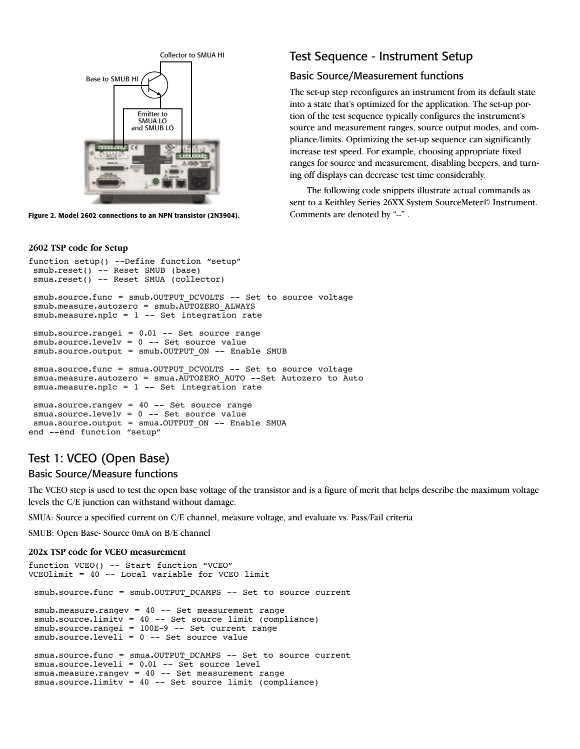

Figure 2. Model 2602 connections to an NPN transistor (2N3904).

#### **2602 TSP code for Setup**

#### function setup() --Define function "setup" smub.reset() -- Reset SMUB (base) smua.reset() -- Reset SMUA (collector) smub.source.func = smub.OUTPUT DCVOLTS -- Set to source voltage smub.measure.autozero = smub.AUTOZERO\_ALWAYS  $smub-measure.nplc = 1 -- Set integration rate$ smub.source.rangei = 0.01 -- Set source range smub.source.levelv = 0 -- Set source value smub.source.output = smub.OUTPUT\_ON -- Enable SMUB smua.source.func = smua.OUTPUT DCVOLTS -- Set to source voltage smua.measure.autozero = smua.AUTOZERO\_AUTO --Set Autozero to Auto  $smua.mac sure.nplc = 1 -- Set integration rate$ smua.source.rangev = 40 -- Set source range smua.source.levelv = 0 -- Set source value smua.source.output = smua.OUTPUT ON -- Enable SMUA end --end function "setup"

## Test 1: VCEO (Open Base)

#### Basic Source/Measure functions

The VCEO step is used to test the open base voltage of the transistor and is a figure of merit that helps describe the maximum voltage levels the C/E junction can withstand without damage.

SMUA: Source a specified current on C/E channel, measure voltage, and evaluate vs. Pass/Fail criteria

SMUB: Open Base- Source 0mA on B/E channel

#### **202x TSP code for VCEO measurement**

```
function VCEO() -- Start function "VCEO"
VCEOlimit = 40 -- Local variable for VCEO limit
smub.source.func = smub.OUTPUT_DCAMPS -- Set to source current
 smub.measure.rangev = 40 -- Set measurement range
 smub.source.limitv = 40 -- Set source limit (compliance)
 smub.source.rangei = 100E-9 -- Set current range
smub.source.leveli = 0 -- Set source value
 smua.source.func = smua.OUTPUT DCAMPS -- Set to source current
 smua.source.leveli = 0.01 -- Set source level
smua.measure.rangev = 40 -- Set measurement range
 smua.source.limitv = 40 -- Set source limit (compliance)
```
## Test Sequence - Instrument Setup

### Basic Source/Measurement functions

The set-up step reconfigures an instrument from its default state into a state that's optimized for the application. The set-up portion of the test sequence typically configures the instrument's source and measurement ranges, source output modes, and compliance/limits. Optimizing the set-up sequence can significantly increase test speed. For example, choosing appropriate fixed ranges for source and measurement, disabling beepers, and turning off displays can decrease test time considerably.

The following code snippets illustrate actual commands as sent to a Keithley Series 26XX System SourceMeter© Instrument. Comments are denoted by "--" .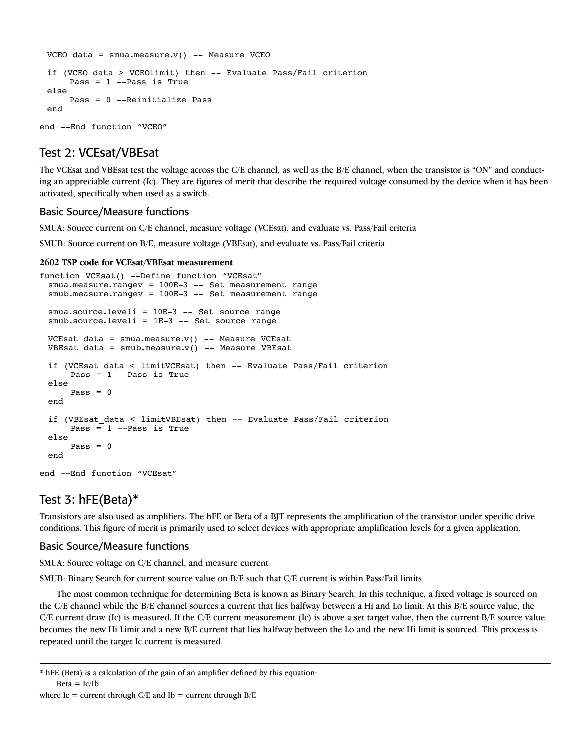```
VCEO data = smua.measure.v() -- Measure VCEO
 if (VCEO data > VCEOlimit) then -- Evaluate Pass/Fail criterion
      Pass = 1 --Pass is True
 else
       Pass = 0 --Reinitialize Pass
 end
end --End function "VCEO"
```
### Test 2: VCEsat/VBEsat

The VCEsat and VBEsat test the voltage across the C/E channel, as well as the B/E channel, when the transistor is "ON" and conducting an appreciable current (Ic). They are figures of merit that describe the required voltage consumed by the device when it has been activated, specifically when used as a switch.

#### Basic Source/Measure functions

SMUA: Source current on C/E channel, measure voltage (VCEsat), and evaluate vs. Pass/Fail criteria

SMUB: Source current on B/E, measure voltage (VBEsat), and evaluate vs. Pass/Fail criteria

#### **2602 TSP code for VCEsat/VBEsat measurement**

```
function VCEsat() --Define function "VCEsat"
 smua.measure.rangev = 100E-3 -- Set measurement range
 smub.measure.rangev = 100E-3 -- Set measurement range
 smua.source.leveli = 10E-3 -- Set source range
 smub.source.leveli = 1E-3 -- Set source range
 VCEsat_data = smua.measure.v() -- Measure VCEsat
 VBEsat_data = smub.macasure.v() -- Measure VBEsatif (VCEsat_data < limitVCEsat) then -- Evaluate Pass/Fail criterion
       Pass = 1 --Pass is True
 else
      Pass = 0end
 if (VBEsat_data < limitVBEsat) then -- Evaluate Pass/Fail criterion
      Pass = 1 --Pass is True
 else
      Pass = 0end
end --End function "VCEsat"
```
## Test 3: hFE(Beta)\*

Transistors are also used as amplifiers. The hFE or Beta of a BJT represents the amplification of the transistor under specific drive conditions. This figure of merit is primarily used to select devices with appropriate amplification levels for a given application.

#### Basic Source/Measure functions

SMUA: Source voltage on C/E channel, and measure current

SMUB: Binary Search for current source value on B/E such that C/E current is within Pass/Fail limits

The most common technique for determining Beta is known as Binary Search. In this technique, a fixed voltage is sourced on the C/E channel while the B/E channel sources a current that lies halfway between a Hi and Lo limit. At this B/E source value, the C/E current draw (Ic) is measured. If the C/E current measurement (Ic) is above a set target value, then the current B/E source value becomes the new Hi Limit and a new B/E current that lies halfway between the Lo and the new Hi limit is sourced. This process is repeated until the target Ic current is measured.

<sup>\*</sup> hFE (Beta) is a calculation of the gain of an amplifier defined by this equation:

 $Beta = Ic/Ib$ 

where Ic = current through  $C/E$  and Ib = current through  $B/E$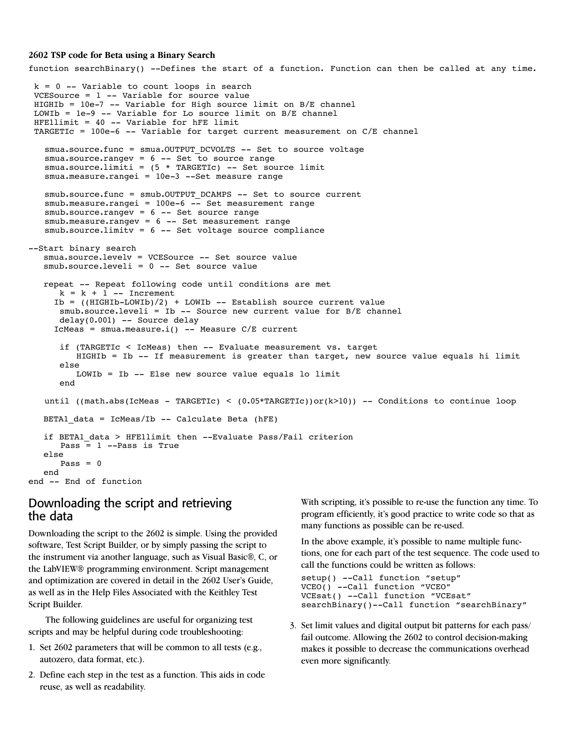#### **2602 TSP code for Beta using a Binary Search**

```
function searchBinary() --Defines the start of a function. Function can then be called at any time.
k = 0 -- Variable to count loops in search
 VCESource = 1 -- Variable for source value
 HIGHIb = 10e-7 -- Variable for High source limit on B/E channel
 LOWIb = 1e-9 -- Variable for Lo source limit on B/E channel
 HFE1limit = 40 -- Variable for hFE limit
 TARGETIc = 100e-6 -- Variable for target current measurement on C/E channel
   smua.source.func = smua.OUTPUT DCVOLTS -- Set to source voltage
   smua.source.rangev = 6 -- Set to source range
   smua.source.limiti = (5 * TARGETIc) -- Set source limit
   smua.measure.rangei = 10e-3 --Set measure range
   smub.source.func = smub.OUTPUT DCAMPS -- Set to source current
   smub.measure.rangei = 100e-6 -- Set measurement range
   smub.source.rangev = 6 -- Set source range
   smub.measure.rangev = 6 -- Set measurement range
   smub.source.limitv = 6 -- Set voltage source compliance
--Start binary search
  smua.source.levelv = VCESource -- Set source value
  smub.source.leveli = 0 -- Set source value
  repeat -- Repeat following code until conditions are met
     k = k + 1 -- Increment
     Ib = ((HIGHIb-LOWIb)/2) + LOWIb -- Establish source current value
      smub.source.leveli = Ib -- Source new current value for B/E channel
       delay(0.001) -- Source delay
     IcMeas = smua.measure.i() -- Measure C/E current
       if (TARGETIc < IcMeas) then -- Evaluate measurement vs. target
          HIGHIb = Ib -- If measurement is greater than target, new source value equals hi limit
       else
          LOWIb = Ib -- Else new source value equals lo limit
       end
   until ((math.abs(IcMeas - TARGETIc) < (0.05*TARGETIc))or(k>10)) -- Conditions to continue loop
  BETA1 data = IcMeas/Ib -- Calculate Beta (hFE)
   if BETA1_data > HFE1limit then --Evaluate Pass/Fail criterion
      Pass = 1 --Pass is True
   else
      Pass = 0 end
end -- End of function
```
### Downloading the script and retrieving the data

Downloading the script to the 2602 is simple. Using the provided software, Test Script Builder, or by simply passing the script to the instrument via another language, such as Visual Basic®, C, or the LabVIEW® programming environment. Script management and optimization are covered in detail in the 2602 User's Guide, as well as in the Help Files Associated with the Keithley Test Script Builder.

The following guidelines are useful for organizing test scripts and may be helpful during code troubleshooting:

- 1. Set 2602 parameters that will be common to all tests (e.g., autozero, data format, etc.).
- 2. Define each step in the test as a function. This aids in code reuse, as well as readability.

 With scripting, it's possible to re-use the function any time. To program efficiently, it's good practice to write code so that as many functions as possible can be re-used.

 In the above example, it's possible to name multiple functions, one for each part of the test sequence. The code used to call the functions could be written as follows:

```
setup() --Call function "setup"
VCEO() --Call function "VCEO"
VCEsat() --Call function "VCEsat"
searchBinary()--Call function "searchBinary"
```
3. Set limit values and digital output bit patterns for each pass/ fail outcome. Allowing the 2602 to control decision-making makes it possible to decrease the communications overhead even more significantly.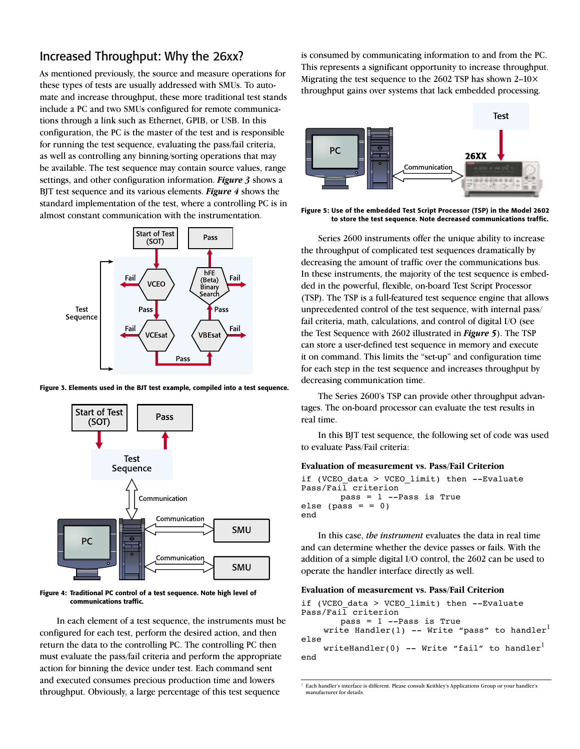## Increased Throughput: Why the 26xx?

As mentioned previously, the source and measure operations for these types of tests are usually addressed with SMUs. To automate and increase throughput, these more traditional test stands include a PC and two SMUs configured for remote communications through a link such as Ethernet, GPIB, or USB. In this configuration, the PC is the master of the test and is responsible for running the test sequence, evaluating the pass/fail criteria, as well as controlling any binning/sorting operations that may be available. The test sequence may contain source values, range settings, and other configuration information. *Figure 3* shows a BJT test sequence and its various elements. *Figure 4* shows the standard implementation of the test, where a controlling PC is in almost constant communication with the instrumentation.



Figure 3. Elements used in the BJT test example, compiled into a test sequence.



Figure 4: Traditional PC control of a test sequence. Note high level of communications traffic.

In each element of a test sequence, the instruments must be configured for each test, perform the desired action, and then return the data to the controlling PC. The controlling PC then must evaluate the pass/fail criteria and perform the appropriate action for binning the device under test. Each command sent and executed consumes precious production time and lowers throughput. Obviously, a large percentage of this test sequence

is consumed by communicating information to and from the PC. This represents a significant opportunity to increase throughput. Migrating the test sequence to the 2602 TSP has shown 2–10× throughput gains over systems that lack embedded processing.



Figure 5: Use of the embedded Test Script Processor (TSP) in the Model 2602 to store the test sequence. Note decreased communications traffic.

Series 2600 instruments offer the unique ability to increase the throughput of complicated test sequences dramatically by decreasing the amount of traffic over the communications bus. In these instruments, the majority of the test sequence is embedded in the powerful, flexible, on-board Test Script Processor (TSP). The TSP is a full-featured test sequence engine that allows unprecedented control of the test sequence, with internal pass/ fail criteria, math, calculations, and control of digital I/O (see the Test Sequence with 2602 illustrated in *Figure 5*). The TSP can store a user-defined test sequence in memory and execute it on command. This limits the "set-up" and configuration time for each step in the test sequence and increases throughput by decreasing communication time.

The Series 2600's TSP can provide other throughput advantages. The on-board processor can evaluate the test results in real time.

In this BJT test sequence, the following set of code was used to evaluate Pass/Fail criteria:

#### **Evaluation of measurement vs. Pass/Fail Criterion**

```
if (VCEO data > VCEO limit) then --Evaluate
Pass/Fail criterion
        pass = 1 --Pass is True
else (pass = = 0)
end
```
In this case, *the instrument* evaluates the data in real time and can determine whether the device passes or fails. With the addition of a simple digital I/O control, the 2602 can be used to operate the handler interface directly as well.

#### **Evaluation of measurement vs. Pass/Fail Criterion**

```
if (VCEO data > VCEO limit) then --Evaluate
Pass/Fail criterion
        pass = 1 --Pass is True
     write Handler(1) -- Write "pass" to handler<sup>1</sup>
else
     writeHandler(0) -- Write "fail" to handler<sup>1</sup>
end
```
<sup>&</sup>lt;sup>1</sup> Each handler's interface is different. Please consult Keithley's Applications Group or your handler's manufacturer for details.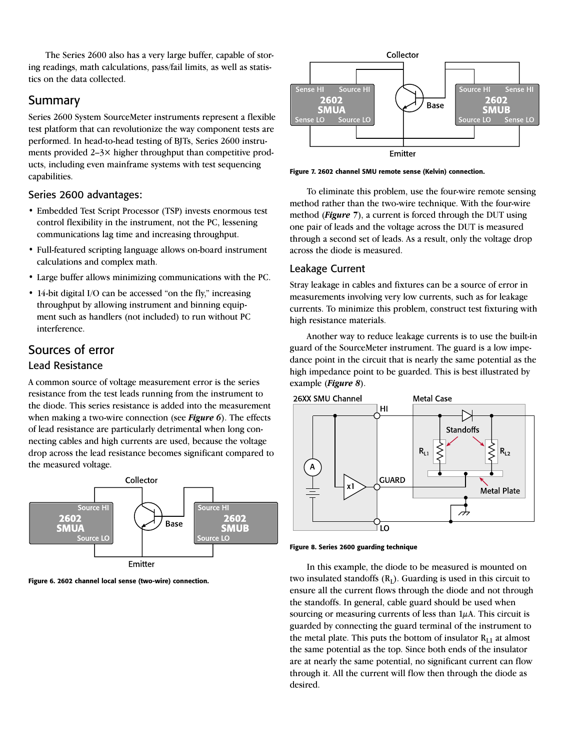The Series 2600 also has a very large buffer, capable of storing readings, math calculations, pass/fail limits, as well as statistics on the data collected.

## Summary

Series 2600 System SourceMeter instruments represent a flexible test platform that can revolutionize the way component tests are performed. In head-to-head testing of BJTs, Series 2600 instruments provided 2–3× higher throughput than competitive products, including even mainframe systems with test sequencing capabilities.

### Series 2600 advantages:

- Embedded Test Script Processor (TSP) invests enormous test control flexibility in the instrument, not the PC, lessening communications lag time and increasing throughput.
- Full-featured scripting language allows on-board instrument calculations and complex math.
- Large buffer allows minimizing communications with the PC.
- 14-bit digital I/O can be accessed "on the fly," increasing throughput by allowing instrument and binning equipment such as handlers (not included) to run without PC interference.

## Sources of error

### Lead Resistance

A common source of voltage measurement error is the series resistance from the test leads running from the instrument to the diode. This series resistance is added into the measurement when making a two-wire connection (see *Figure 6*). The effects of lead resistance are particularly detrimental when long connecting cables and high currents are used, because the voltage drop across the lead resistance becomes significant compared to the measured voltage.



Figure 6. 2602 channel local sense (two-wire) connection.



Figure 7. 2602 channel SMU remote sense (Kelvin) connection.

To eliminate this problem, use the four-wire remote sensing method rather than the two-wire technique. With the four-wire method (*Figure 7*), a current is forced through the DUT using one pair of leads and the voltage across the DUT is measured through a second set of leads. As a result, only the voltage drop across the diode is measured.

### Leakage Current

Stray leakage in cables and fixtures can be a source of error in measurements involving very low currents, such as for leakage currents. To minimize this problem, construct test fixturing with high resistance materials.

Another way to reduce leakage currents is to use the built-in guard of the SourceMeter instrument. The guard is a low impedance point in the circuit that is nearly the same potential as the high impedance point to be guarded. This is best illustrated by example (*Figure 8*).



Figure 8. Series 2600 guarding technique

In this example, the diode to be measured is mounted on two insulated standoffs  $(R<sub>I</sub>)$ . Guarding is used in this circuit to ensure all the current flows through the diode and not through the standoffs. In general, cable guard should be used when sourcing or measuring currents of less than  $1\mu A$ . This circuit is guarded by connecting the guard terminal of the instrument to the metal plate. This puts the bottom of insulator  $R_{L1}$  at almost the same potential as the top. Since both ends of the insulator are at nearly the same potential, no significant current can flow through it. All the current will flow then through the diode as desired.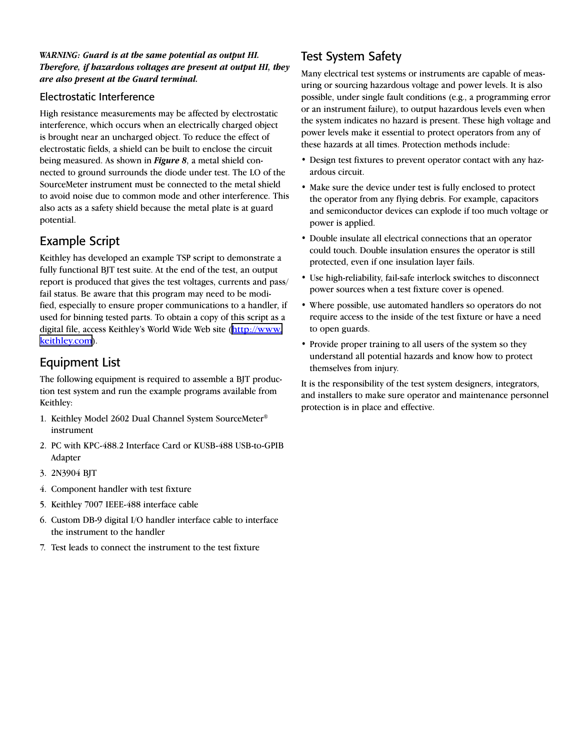### *WARNING: Guard is at the same potential as output HI. Therefore, if hazardous voltages are present at output HI, they are also present at the Guard terminal.*

### Electrostatic Interference

High resistance measurements may be affected by electrostatic interference, which occurs when an electrically charged object is brought near an uncharged object. To reduce the effect of electrostatic fields, a shield can be built to enclose the circuit being measured. As shown in *Figure 8*, a metal shield connected to ground surrounds the diode under test. The LO of the SourceMeter instrument must be connected to the metal shield to avoid noise due to common mode and other interference. This also acts as a safety shield because the metal plate is at guard potential.

## Example Script

Keithley has developed an example TSP script to demonstrate a fully functional BJT test suite. At the end of the test, an output report is produced that gives the test voltages, currents and pass/ fail status. Be aware that this program may need to be modified, especially to ensure proper communications to a handler, if used for binning tested parts. To obtain a copy of this script as a digital file, access Keithley's World Wide Web site ([http://www.](http://www.keithley.com) [keithley.com](http://www.keithley.com)).

## Equipment List

The following equipment is required to assemble a BJT production test system and run the example programs available from Keithley:

- 1. Keithley Model 2602 Dual Channel System SourceMeter® instrument
- 2. PC with KPC-488.2 Interface Card or KUSB-488 USB-to-GPIB Adapter
- 3. 2N3904 BJT
- 4. Component handler with test fixture
- 5. Keithley 7007 IEEE-488 interface cable
- 6. Custom DB-9 digital I/O handler interface cable to interface the instrument to the handler
- 7. Test leads to connect the instrument to the test fixture

## Test System Safety

Many electrical test systems or instruments are capable of measuring or sourcing hazardous voltage and power levels. It is also possible, under single fault conditions (e.g., a programming error or an instrument failure), to output hazardous levels even when the system indicates no hazard is present. These high voltage and power levels make it essential to protect operators from any of these hazards at all times. Protection methods include:

- Design test fixtures to prevent operator contact with any hazardous circuit.
- Make sure the device under test is fully enclosed to protect the operator from any flying debris. For example, capacitors and semiconductor devices can explode if too much voltage or power is applied.
- Double insulate all electrical connections that an operator could touch. Double insulation ensures the operator is still protected, even if one insulation layer fails.
- Use high-reliability, fail-safe interlock switches to disconnect power sources when a test fixture cover is opened.
- Where possible, use automated handlers so operators do not require access to the inside of the test fixture or have a need to open guards.
- Provide proper training to all users of the system so they understand all potential hazards and know how to protect themselves from injury.

It is the responsibility of the test system designers, integrators, and installers to make sure operator and maintenance personnel protection is in place and effective.